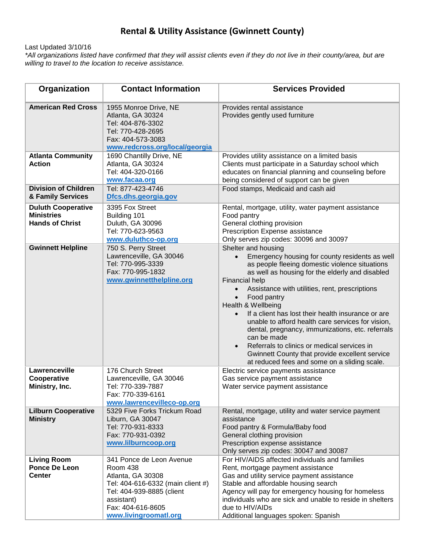## **Rental & Utility Assistance (Gwinnett County)**

Last Updated 3/10/16

*\*All organizations listed have confirmed that they will assist clients even if they do not live in their county/area, but are willing to travel to the location to receive assistance.*

| Organization                                                             | <b>Contact Information</b>                                                                                                                                                              | <b>Services Provided</b>                                                                                                                                                                                                                                                                                                                                                                                                                                                                                                                                                                                                                                         |
|--------------------------------------------------------------------------|-----------------------------------------------------------------------------------------------------------------------------------------------------------------------------------------|------------------------------------------------------------------------------------------------------------------------------------------------------------------------------------------------------------------------------------------------------------------------------------------------------------------------------------------------------------------------------------------------------------------------------------------------------------------------------------------------------------------------------------------------------------------------------------------------------------------------------------------------------------------|
| <b>American Red Cross</b>                                                | 1955 Monroe Drive, NE<br>Atlanta, GA 30324<br>Tel: 404-876-3302<br>Tel: 770-428-2695<br>Fax: 404-573-3083<br>www.redcross.org/local/georgia                                             | Provides rental assistance<br>Provides gently used furniture                                                                                                                                                                                                                                                                                                                                                                                                                                                                                                                                                                                                     |
| <b>Atlanta Community</b><br><b>Action</b>                                | 1690 Chantilly Drive, NE<br>Atlanta, GA 30324<br>Tel: 404-320-0166<br>www.facaa.org                                                                                                     | Provides utility assistance on a limited basis<br>Clients must participate in a Saturday school which<br>educates on financial planning and counseling before<br>being considered of support can be given                                                                                                                                                                                                                                                                                                                                                                                                                                                        |
| <b>Division of Children</b><br>& Family Services                         | Tel: 877-423-4746<br>Dfcs.dhs.georgia.gov                                                                                                                                               | Food stamps, Medicaid and cash aid                                                                                                                                                                                                                                                                                                                                                                                                                                                                                                                                                                                                                               |
| <b>Duluth Cooperative</b><br><b>Ministries</b><br><b>Hands of Christ</b> | 3395 Fox Street<br>Building 101<br>Duluth, GA 30096<br>Tel: 770-623-9563<br>www.duluthco-op.org                                                                                         | Rental, mortgage, utility, water payment assistance<br>Food pantry<br>General clothing provision<br>Prescription Expense assistance<br>Only serves zip codes: 30096 and 30097                                                                                                                                                                                                                                                                                                                                                                                                                                                                                    |
| <b>Gwinnett Helpline</b>                                                 | 750 S. Perry Street<br>Lawrenceville, GA 30046<br>Tel: 770-995-3339<br>Fax: 770-995-1832<br>www.gwinnetthelpline.org                                                                    | Shelter and housing<br>Emergency housing for county residents as well<br>as people fleeing domestic violence situations<br>as well as housing for the elderly and disabled<br><b>Financial help</b><br>Assistance with utilities, rent, prescriptions<br>$\bullet$<br>Food pantry<br>$\bullet$<br>Health & Wellbeing<br>If a client has lost their health insurance or are<br>$\bullet$<br>unable to afford health care services for vision,<br>dental, pregnancy, immunizations, etc. referrals<br>can be made<br>Referrals to clinics or medical services in<br>Gwinnett County that provide excellent service<br>at reduced fees and some on a sliding scale. |
| Lawrenceville<br>Cooperative<br>Ministry, Inc.                           | 176 Church Street<br>Lawrenceville, GA 30046<br>Tel: 770-339-7887<br>Fax: 770-339-6161<br>www.lawrencevilleco-op.org                                                                    | Electric service payments assistance<br>Gas service payment assistance<br>Water service payment assistance                                                                                                                                                                                                                                                                                                                                                                                                                                                                                                                                                       |
| <b>Lilburn Cooperative</b><br><b>Ministry</b>                            | 5329 Five Forks Trickum Road<br>Liburn, GA 30047<br>Tel: 770-931-8333<br>Fax: 770-931-0392<br>www.lilburncoop.org                                                                       | Rental, mortgage, utility and water service payment<br>assistance<br>Food pantry & Formula/Baby food<br>General clothing provision<br>Prescription expense assistance<br>Only serves zip codes: 30047 and 30087                                                                                                                                                                                                                                                                                                                                                                                                                                                  |
| <b>Living Room</b><br><b>Ponce De Leon</b><br><b>Center</b>              | 341 Ponce de Leon Avenue<br>Room 438<br>Atlanta, GA 30308<br>Tel: 404-616-6332 (main client #)<br>Tel: 404-939-8885 (client<br>assistant)<br>Fax: 404-616-8605<br>www.livingroomatl.org | For HIV/AIDS affected individuals and families<br>Rent, mortgage payment assistance<br>Gas and utility service payment assistance<br>Stable and affordable housing search<br>Agency will pay for emergency housing for homeless<br>individuals who are sick and unable to reside in shelters<br>due to HIV/AIDs<br>Additional languages spoken: Spanish                                                                                                                                                                                                                                                                                                          |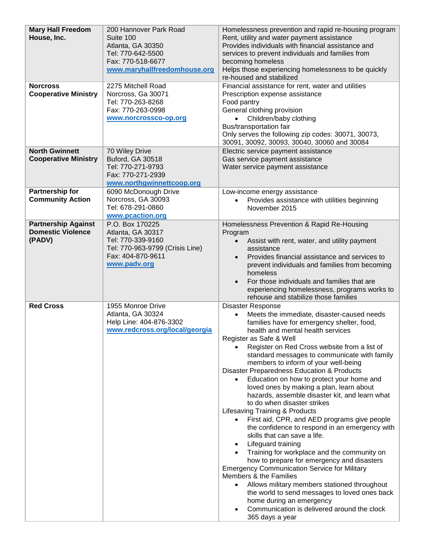| <b>Mary Hall Freedom</b><br>House, Inc.<br><b>Norcross</b><br><b>Cooperative Ministry</b> | 200 Hannover Park Road<br>Suite 100<br>Atlanta, GA 30350<br>Tel: 770-642-5500<br>Fax: 770-518-6677<br>www.maryhallfreedomhouse.org<br>2275 Mitchell Road<br>Norcross, Ga 30071<br>Tel: 770-263-8268<br>Fax: 770-263-0998<br>www.norcrossco-op.org | Homelessness prevention and rapid re-housing program<br>Rent, utility and water payment assistance<br>Provides individuals with financial assistance and<br>services to prevent individuals and families from<br>becoming homeless<br>Helps those experiencing homelessness to be quickly<br>re-housed and stabilized<br>Financial assistance for rent, water and utilities<br>Prescription expense assistance<br>Food pantry<br>General clothing provision<br>Children/baby clothing<br>Bus/transportation fair                                                                                                                                                                                                                                                                                                                                                                                                                                                                                                                                                                                                                                    |
|-------------------------------------------------------------------------------------------|---------------------------------------------------------------------------------------------------------------------------------------------------------------------------------------------------------------------------------------------------|-----------------------------------------------------------------------------------------------------------------------------------------------------------------------------------------------------------------------------------------------------------------------------------------------------------------------------------------------------------------------------------------------------------------------------------------------------------------------------------------------------------------------------------------------------------------------------------------------------------------------------------------------------------------------------------------------------------------------------------------------------------------------------------------------------------------------------------------------------------------------------------------------------------------------------------------------------------------------------------------------------------------------------------------------------------------------------------------------------------------------------------------------------|
| <b>North Gwinnett</b>                                                                     | 70 Wiley Drive                                                                                                                                                                                                                                    | Only serves the following zip codes: 30071, 30073,<br>30091, 30092, 30093, 30040, 30060 and 30084<br>Electric service payment assistance                                                                                                                                                                                                                                                                                                                                                                                                                                                                                                                                                                                                                                                                                                                                                                                                                                                                                                                                                                                                            |
| <b>Cooperative Ministry</b>                                                               | <b>Buford, GA 30518</b><br>Tel: 770-271-9793<br>Fax: 770-271-2939<br>www.northgwinnettcoop.org                                                                                                                                                    | Gas service payment assistance<br>Water service payment assistance                                                                                                                                                                                                                                                                                                                                                                                                                                                                                                                                                                                                                                                                                                                                                                                                                                                                                                                                                                                                                                                                                  |
| <b>Partnership for</b><br><b>Community Action</b>                                         | 6090 McDonough Drive<br>Norcross, GA 30093<br>Tel: 678-291-0860<br>www.pcaction.org                                                                                                                                                               | Low-income energy assistance<br>Provides assistance with utilities beginning<br>November 2015                                                                                                                                                                                                                                                                                                                                                                                                                                                                                                                                                                                                                                                                                                                                                                                                                                                                                                                                                                                                                                                       |
| <b>Partnership Against</b><br><b>Domestic Violence</b><br>(PADV)                          | P.O. Box 170225<br>Atlanta, GA 30317<br>Tel: 770-339-9160<br>Tel: 770-963-9799 (Crisis Line)<br>Fax: 404-870-9611<br>www.padv.org                                                                                                                 | Homelessness Prevention & Rapid Re-Housing<br>Program<br>Assist with rent, water, and utility payment<br>assistance<br>Provides financial assistance and services to<br>prevent individuals and families from becoming<br>homeless<br>For those individuals and families that are<br>$\bullet$<br>experiencing homelessness, programs works to<br>rehouse and stabilize those families                                                                                                                                                                                                                                                                                                                                                                                                                                                                                                                                                                                                                                                                                                                                                              |
| <b>Red Cross</b>                                                                          | 1955 Monroe Drive<br>Atlanta, GA 30324<br>Help Line: 404-876-3302<br>www.redcross.org/local/georgia                                                                                                                                               | Disaster Response<br>Meets the immediate, disaster-caused needs<br>$\bullet$<br>families have for emergency shelter, food,<br>health and mental health services<br>Register as Safe & Well<br>Register on Red Cross website from a list of<br>standard messages to communicate with family<br>members to inform of your well-being<br>Disaster Preparedness Education & Products<br>Education on how to protect your home and<br>٠<br>loved ones by making a plan, learn about<br>hazards, assemble disaster kit, and learn what<br>to do when disaster strikes<br>Lifesaving Training & Products<br>First aid, CPR, and AED programs give people<br>the confidence to respond in an emergency with<br>skills that can save a life.<br>Lifeguard training<br>Training for workplace and the community on<br>how to prepare for emergency and disasters<br><b>Emergency Communication Service for Military</b><br>Members & the Families<br>Allows military members stationed throughout<br>$\bullet$<br>the world to send messages to loved ones back<br>home during an emergency<br>Communication is delivered around the clock<br>365 days a year |